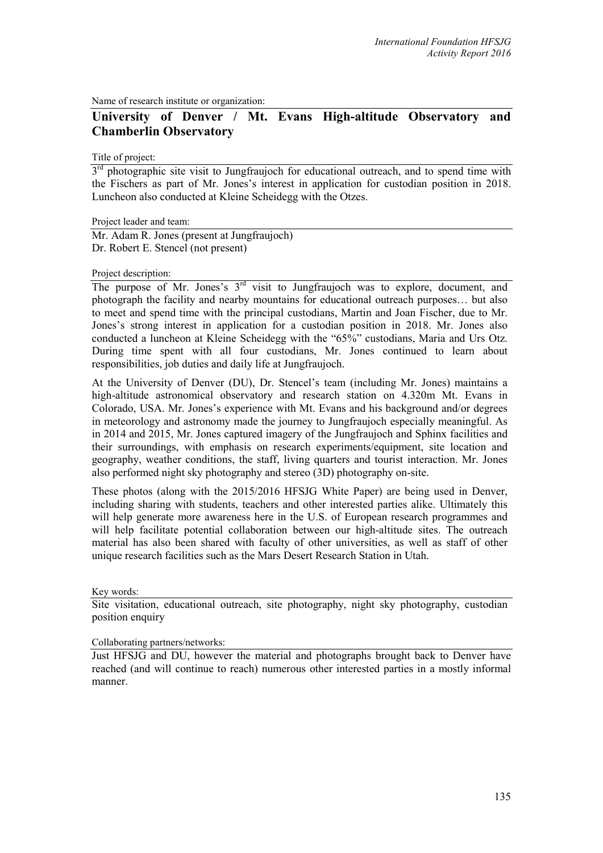Name of research institute or organization:

## **University of Denver / Mt. Evans High-altitude Observatory and Chamberlin Observatory**

Title of project:

 $3<sup>rd</sup>$  photographic site visit to Jungfraujoch for educational outreach, and to spend time with the Fischers as part of Mr. Jones's interest in application for custodian position in 2018. Luncheon also conducted at Kleine Scheidegg with the Otzes.

Project leader and team:

Mr. Adam R. Jones (present at Jungfraujoch) Dr. Robert E. Stencel (not present)

## Project description:

The purpose of Mr. Jones's 3<sup>rd</sup> visit to Jungfraujoch was to explore, document, and photograph the facility and nearby mountains for educational outreach purposes… but also to meet and spend time with the principal custodians, Martin and Joan Fischer, due to Mr. Jones's strong interest in application for a custodian position in 2018. Mr. Jones also conducted a luncheon at Kleine Scheidegg with the "65%" custodians, Maria and Urs Otz. During time spent with all four custodians, Mr. Jones continued to learn about responsibilities, job duties and daily life at Jungfraujoch.

At the University of Denver (DU), Dr. Stencel's team (including Mr. Jones) maintains a high-altitude astronomical observatory and research station on 4.320m Mt. Evans in Colorado, USA. Mr. Jones's experience with Mt. Evans and his background and/or degrees in meteorology and astronomy made the journey to Jungfraujoch especially meaningful. As in 2014 and 2015, Mr. Jones captured imagery of the Jungfraujoch and Sphinx facilities and their surroundings, with emphasis on research experiments/equipment, site location and geography, weather conditions, the staff, living quarters and tourist interaction. Mr. Jones also performed night sky photography and stereo (3D) photography on-site.

These photos (along with the 2015/2016 HFSJG White Paper) are being used in Denver, including sharing with students, teachers and other interested parties alike. Ultimately this will help generate more awareness here in the U.S. of European research programmes and will help facilitate potential collaboration between our high-altitude sites. The outreach material has also been shared with faculty of other universities, as well as staff of other unique research facilities such as the Mars Desert Research Station in Utah.

Key words:

Site visitation, educational outreach, site photography, night sky photography, custodian position enquiry

Collaborating partners/networks:

Just HFSJG and DU, however the material and photographs brought back to Denver have reached (and will continue to reach) numerous other interested parties in a mostly informal manner.